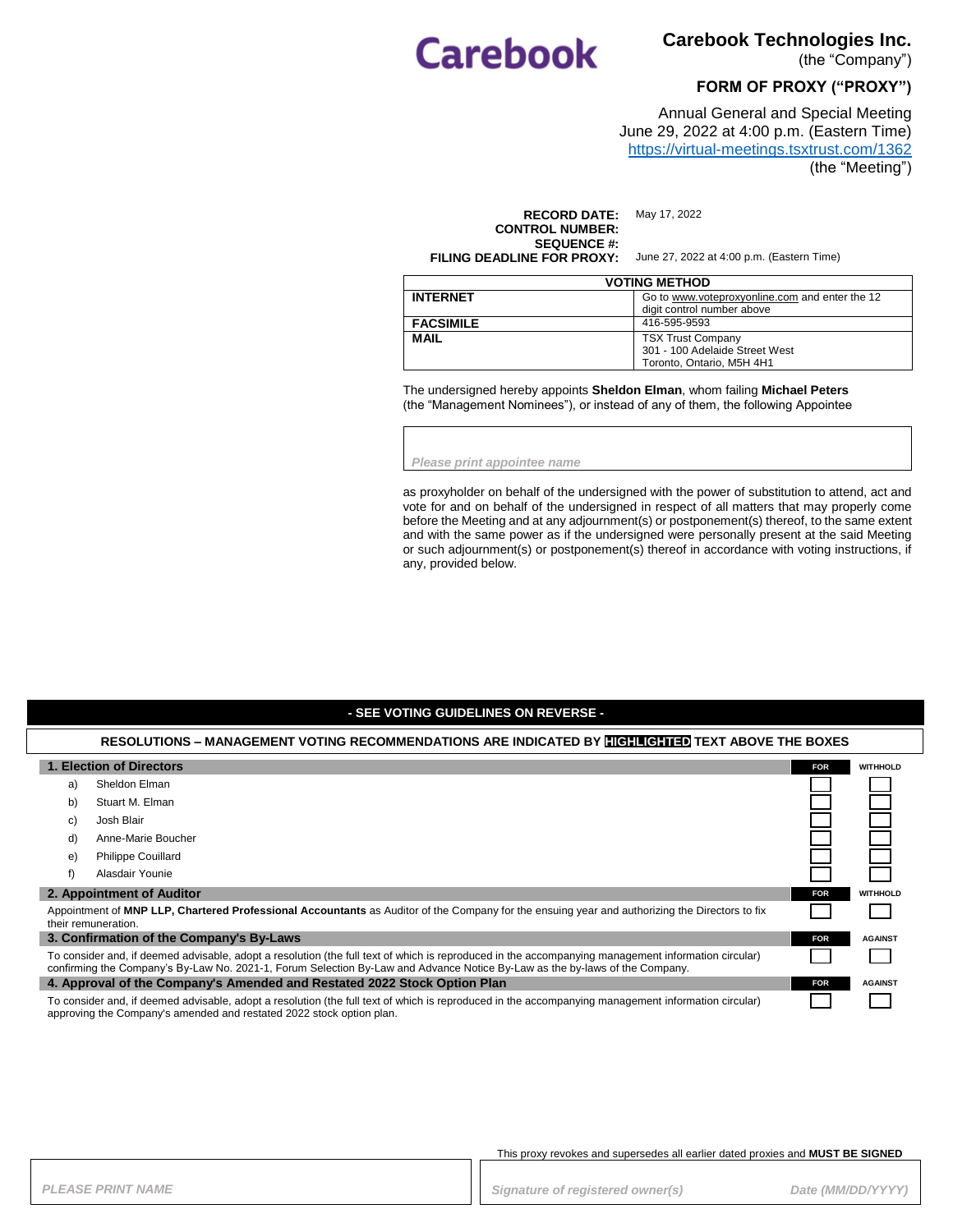# **Carebook**

**Carebook Technologies Inc.** 

(the "Company")

#### **FORM OF PROXY ("PROXY")**

Annual General and Special Meeting June 29, 2022 at 4:00 p.m. (Eastern Time) <https://virtual-meetings.tsxtrust.com/1362> (the "Meeting")

**RECORD DATE:** May 17, 2022 **CONTROL NUMBER: SEQUENCE #: FILING DEADLINE FOR PROXY:** June 27, 2022 at 4:00 p.m. (Eastern Time)

| <b>VOTING METHOD</b> |                                                                                         |  |
|----------------------|-----------------------------------------------------------------------------------------|--|
| <b>INTERNET</b>      | Go to www.voteproxyonline.com and enter the 12<br>digit control number above            |  |
| <b>FACSIMILE</b>     | 416-595-9593                                                                            |  |
| <b>MAIL</b>          | <b>TSX Trust Company</b><br>301 - 100 Adelaide Street West<br>Toronto. Ontario. M5H 4H1 |  |

The undersigned hereby appoints **Sheldon Elman**, whom failing **Michael Peters**  (the "Management Nominees"), or instead of any of them, the following Appointee

*Please print appointee name*

as proxyholder on behalf of the undersigned with the power of substitution to attend, act and vote for and on behalf of the undersigned in respect of all matters that may properly come before the Meeting and at any adjournment(s) or postponement(s) thereof, to the same extent and with the same power as if the undersigned were personally present at the said Meeting or such adjournment(s) or postponement(s) thereof in accordance with voting instructions, if any, provided below.

#### **- SEE VOTING GUIDELINES ON REVERSE -**

### **RESOLUTIONS – MANAGEMENT VOTING RECOMMENDATIONS ARE INDICATED BY HIGHLIGHTED TEXT ABOVE THE BOXES**

| 1. Election of Directors                                                                                                                                                                                                                                                           |                           | <b>FOR</b> | <b>WITHHOLD</b> |
|------------------------------------------------------------------------------------------------------------------------------------------------------------------------------------------------------------------------------------------------------------------------------------|---------------------------|------------|-----------------|
| a)                                                                                                                                                                                                                                                                                 | Sheldon Elman             |            |                 |
| b)                                                                                                                                                                                                                                                                                 | Stuart M. Elman           |            |                 |
| C)                                                                                                                                                                                                                                                                                 | Josh Blair                |            |                 |
| d)                                                                                                                                                                                                                                                                                 | Anne-Marie Boucher        |            |                 |
| e)                                                                                                                                                                                                                                                                                 | <b>Philippe Couillard</b> |            |                 |
| f)                                                                                                                                                                                                                                                                                 | Alasdair Younie           |            |                 |
| 2. Appointment of Auditor                                                                                                                                                                                                                                                          |                           | <b>FOR</b> | <b>WITHHOLD</b> |
| Appointment of MNP LLP, Chartered Professional Accountants as Auditor of the Company for the ensuing year and authorizing the Directors to fix<br>their remuneration.                                                                                                              |                           |            |                 |
| 3. Confirmation of the Company's By-Laws                                                                                                                                                                                                                                           |                           | <b>FOR</b> | <b>AGAINST</b>  |
| To consider and, if deemed advisable, adopt a resolution (the full text of which is reproduced in the accompanying management information circular)<br>confirming the Company's By-Law No. 2021-1, Forum Selection By-Law and Advance Notice By-Law as the by-laws of the Company. |                           |            |                 |
| 4. Approval of the Company's Amended and Restated 2022 Stock Option Plan                                                                                                                                                                                                           |                           | <b>FOR</b> | <b>AGAINST</b>  |
| To consider and, if deemed advisable, adopt a resolution (the full text of which is reproduced in the accompanying management information circular)<br>approving the Company's amended and restated 2022 stock option plan.                                                        |                           |            |                 |

This proxy revokes and supersedes all earlier dated proxies and **MUST BE SIGNED**